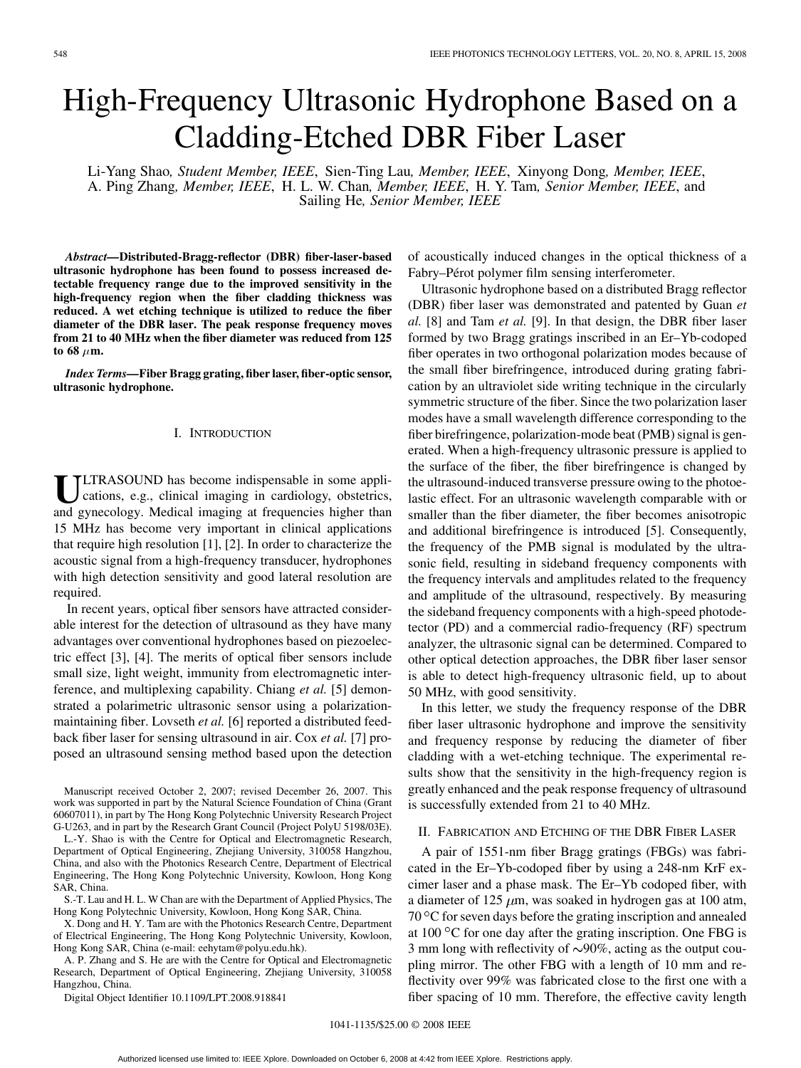# High-Frequency Ultrasonic Hydrophone Based on a Cladding-Etched DBR Fiber Laser

Li-Yang Shao*, Student Member, IEEE*, Sien-Ting Lau*, Member, IEEE*, Xinyong Dong*, Member, IEEE*, A. Ping Zhang*, Member, IEEE*, H. L. W. Chan*, Member, IEEE*, H. Y. Tam*, Senior Member, IEEE*, and Sailing He*, Senior Member, IEEE*

*Abstract—***Distributed-Bragg-reflector (DBR) fiber-laser-based ultrasonic hydrophone has been found to possess increased detectable frequency range due to the improved sensitivity in the high-frequency region when the fiber cladding thickness was reduced. A wet etching technique is utilized to reduce the fiber diameter of the DBR laser. The peak response frequency moves from 21 to 40 MHz when the fiber diameter was reduced from 125** to 68  $\mu$ m.

*Index Terms—***Fiber Bragg grating, fiber laser, fiber-optic sensor, ultrasonic hydrophone.**

#### I. INTRODUCTION

ULTRASOUND has become indispensable in some applications, e.g., clinical imaging in cardiology, obstetrics, and gynecology. Medical imaging at frequencies higher than 15 MHz has become very important in clinical applications that require high resolution [1], [2]. In order to characterize the acoustic signal from a high-frequency transducer, hydrophones with high detection sensitivity and good lateral resolution are required.

In recent years, optical fiber sensors have attracted considerable interest for the detection of ultrasound as they have many advantages over conventional hydrophones based on piezoelectric effect [3], [4]. The merits of optical fiber sensors include small size, light weight, immunity from electromagnetic interference, and multiplexing capability. Chiang *et al.* [5] demonstrated a polarimetric ultrasonic sensor using a polarizationmaintaining fiber. Lovseth *et al.* [6] reported a distributed feedback fiber laser for sensing ultrasound in air. Cox *et al.* [7] proposed an ultrasound sensing method based upon the detection

S.-T. Lau and H. L. W Chan are with the Department of Applied Physics, The Hong Kong Polytechnic University, Kowloon, Hong Kong SAR, China.

X. Dong and H. Y. Tam are with the Photonics Research Centre, Department of Electrical Engineering, The Hong Kong Polytechnic University, Kowloon, Hong Kong SAR, China (e-mail: eehytam@polyu.edu.hk).

A. P. Zhang and S. He are with the Centre for Optical and Electromagnetic Research, Department of Optical Engineering, Zhejiang University, 310058 Hangzhou, China.

Digital Object Identifier 10.1109/LPT.2008.918841

of acoustically induced changes in the optical thickness of a Fabry–Pérot polymer film sensing interferometer.

Ultrasonic hydrophone based on a distributed Bragg reflector (DBR) fiber laser was demonstrated and patented by Guan *et al.* [8] and Tam *et al.* [9]. In that design, the DBR fiber laser formed by two Bragg gratings inscribed in an Er–Yb-codoped fiber operates in two orthogonal polarization modes because of the small fiber birefringence, introduced during grating fabrication by an ultraviolet side writing technique in the circularly symmetric structure of the fiber. Since the two polarization laser modes have a small wavelength difference corresponding to the fiber birefringence, polarization-mode beat (PMB) signal is generated. When a high-frequency ultrasonic pressure is applied to the surface of the fiber, the fiber birefringence is changed by the ultrasound-induced transverse pressure owing to the photoelastic effect. For an ultrasonic wavelength comparable with or smaller than the fiber diameter, the fiber becomes anisotropic and additional birefringence is introduced [5]. Consequently, the frequency of the PMB signal is modulated by the ultrasonic field, resulting in sideband frequency components with the frequency intervals and amplitudes related to the frequency and amplitude of the ultrasound, respectively. By measuring the sideband frequency components with a high-speed photodetector (PD) and a commercial radio-frequency (RF) spectrum analyzer, the ultrasonic signal can be determined. Compared to other optical detection approaches, the DBR fiber laser sensor is able to detect high-frequency ultrasonic field, up to about 50 MHz, with good sensitivity.

In this letter, we study the frequency response of the DBR fiber laser ultrasonic hydrophone and improve the sensitivity and frequency response by reducing the diameter of fiber cladding with a wet-etching technique. The experimental results show that the sensitivity in the high-frequency region is greatly enhanced and the peak response frequency of ultrasound is successfully extended from 21 to 40 MHz.

#### II. FABRICATION AND ETCHING OF THE DBR FIBER LASER

A pair of 1551-nm fiber Bragg gratings (FBGs) was fabricated in the Er–Yb-codoped fiber by using a 248-nm KrF excimer laser and a phase mask. The Er–Yb codoped fiber, with a diameter of 125  $\mu$ m, was soaked in hydrogen gas at 100 atm,  $70^{\circ}$ C for seven days before the grating inscription and annealed at  $100^{\circ}$ C for one day after the grating inscription. One FBG is 3 mm long with reflectivity of  $\sim$ 90%, acting as the output coupling mirror. The other FBG with a length of 10 mm and reflectivity over 99% was fabricated close to the first one with a fiber spacing of 10 mm. Therefore, the effective cavity length

Manuscript received October 2, 2007; revised December 26, 2007. This work was supported in part by the Natural Science Foundation of China (Grant 60607011), in part by The Hong Kong Polytechnic University Research Project G-U263, and in part by the Research Grant Council (Project PolyU 5198/03E).

L.-Y. Shao is with the Centre for Optical and Electromagnetic Research, Department of Optical Engineering, Zhejiang University, 310058 Hangzhou, China, and also with the Photonics Research Centre, Department of Electrical Engineering, The Hong Kong Polytechnic University, Kowloon, Hong Kong SAR, China.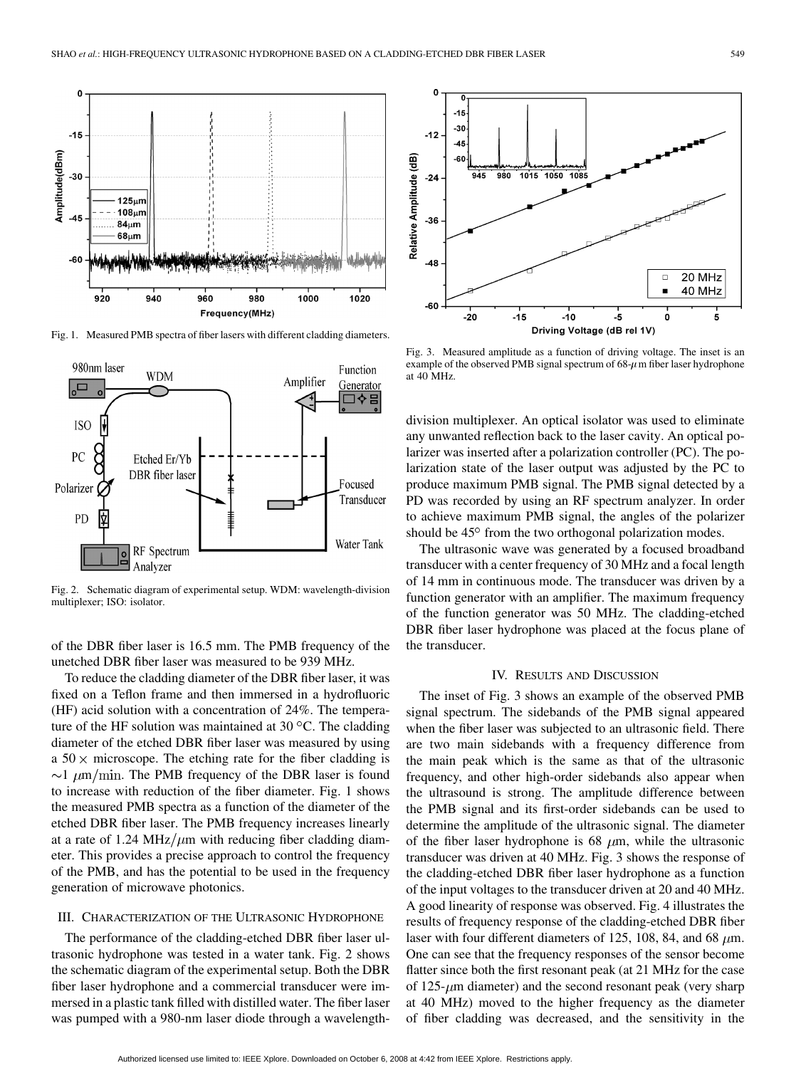

Fig. 1. Measured PMB spectra of fiber lasers with different cladding diameters.



Fig. 2. Schematic diagram of experimental setup. WDM: wavelength-division multiplexer; ISO: isolator.

of the DBR fiber laser is 16.5 mm. The PMB frequency of the unetched DBR fiber laser was measured to be 939 MHz.

To reduce the cladding diameter of the DBR fiber laser, it was fixed on a Teflon frame and then immersed in a hydrofluoric (HF) acid solution with a concentration of 24%. The temperature of the HF solution was maintained at 30  $\mathrm{^{\circ}C}$ . The cladding diameter of the etched DBR fiber laser was measured by using a  $50 \times$  microscope. The etching rate for the fiber cladding is  $\sim$ 1  $\mu$ m/min. The PMB frequency of the DBR laser is found to increase with reduction of the fiber diameter. Fig. 1 shows the measured PMB spectra as a function of the diameter of the etched DBR fiber laser. The PMB frequency increases linearly at a rate of 1.24 MHz/ $\mu$ m with reducing fiber cladding diameter. This provides a precise approach to control the frequency of the PMB, and has the potential to be used in the frequency generation of microwave photonics.

#### III. CHARACTERIZATION OF THE ULTRASONIC HYDROPHONE

The performance of the cladding-etched DBR fiber laser ultrasonic hydrophone was tested in a water tank. Fig. 2 shows the schematic diagram of the experimental setup. Both the DBR fiber laser hydrophone and a commercial transducer were immersed in a plastic tank filled with distilled water. The fiber laser was pumped with a 980-nm laser diode through a wavelength-



Fig. 3. Measured amplitude as a function of driving voltage. The inset is an example of the observed PMB signal spectrum of  $68-\mu$ m fiber laser hydrophone at 40 MHz.

division multiplexer. An optical isolator was used to eliminate any unwanted reflection back to the laser cavity. An optical polarizer was inserted after a polarization controller (PC). The polarization state of the laser output was adjusted by the PC to produce maximum PMB signal. The PMB signal detected by a PD was recorded by using an RF spectrum analyzer. In order to achieve maximum PMB signal, the angles of the polarizer should be 45° from the two orthogonal polarization modes.

The ultrasonic wave was generated by a focused broadband transducer with a center frequency of 30 MHz and a focal length of 14 mm in continuous mode. The transducer was driven by a function generator with an amplifier. The maximum frequency of the function generator was 50 MHz. The cladding-etched DBR fiber laser hydrophone was placed at the focus plane of the transducer.

## IV. RESULTS AND DISCUSSION

The inset of Fig. 3 shows an example of the observed PMB signal spectrum. The sidebands of the PMB signal appeared when the fiber laser was subjected to an ultrasonic field. There are two main sidebands with a frequency difference from the main peak which is the same as that of the ultrasonic frequency, and other high-order sidebands also appear when the ultrasound is strong. The amplitude difference between the PMB signal and its first-order sidebands can be used to determine the amplitude of the ultrasonic signal. The diameter of the fiber laser hydrophone is 68  $\mu$ m, while the ultrasonic transducer was driven at 40 MHz. Fig. 3 shows the response of the cladding-etched DBR fiber laser hydrophone as a function of the input voltages to the transducer driven at 20 and 40 MHz. A good linearity of response was observed. Fig. 4 illustrates the results of frequency response of the cladding-etched DBR fiber laser with four different diameters of 125, 108, 84, and 68  $\mu$ m. One can see that the frequency responses of the sensor become flatter since both the first resonant peak (at 21 MHz for the case of  $125-\mu m$  diameter) and the second resonant peak (very sharp at 40 MHz) moved to the higher frequency as the diameter of fiber cladding was decreased, and the sensitivity in the